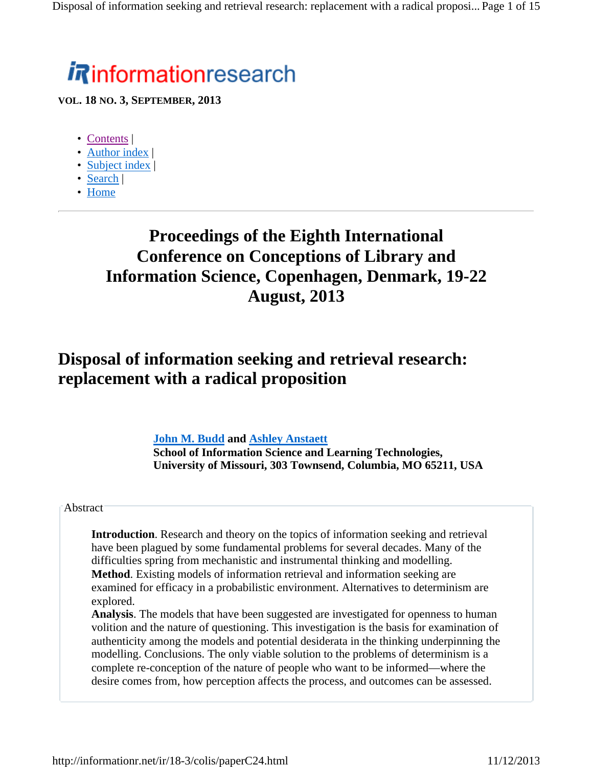# *i R*informationresearch

**VOL. 18 NO. 3, SEPTEMBER, 2013**

- Contents |
- Author index |
- Subject index |
- Search |
- Home

# **Proceedings of the Eighth International Conference on Conceptions of Library and Information Science, Copenhagen, Denmark, 19-22 August, 2013**

# **Disposal of information seeking and retrieval research: replacement with a radical proposition**

### **John M. Budd and Ashley Anstaett**

**School of Information Science and Learning Technologies, University of Missouri, 303 Townsend, Columbia, MO 65211, USA**

#### **Abstract**

**Introduction**. Research and theory on the topics of information seeking and retrieval have been plagued by some fundamental problems for several decades. Many of the difficulties spring from mechanistic and instrumental thinking and modelling. **Method**. Existing models of information retrieval and information seeking are examined for efficacy in a probabilistic environment. Alternatives to determinism are explored.

**Analysis**. The models that have been suggested are investigated for openness to human volition and the nature of questioning. This investigation is the basis for examination of authenticity among the models and potential desiderata in the thinking underpinning the modelling. Conclusions. The only viable solution to the problems of determinism is a complete re-conception of the nature of people who want to be informed—where the desire comes from, how perception affects the process, and outcomes can be assessed.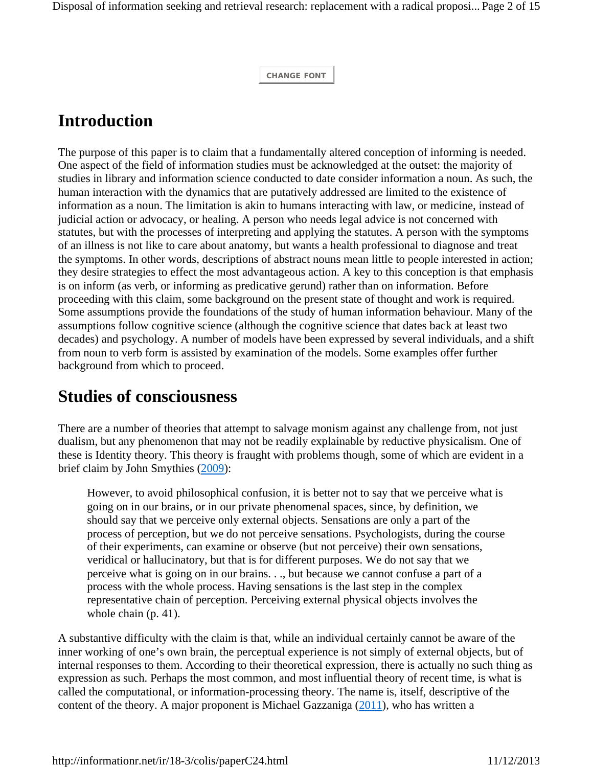**CHANGE FONT**

# **Introduction**

The purpose of this paper is to claim that a fundamentally altered conception of informing is needed. One aspect of the field of information studies must be acknowledged at the outset: the majority of studies in library and information science conducted to date consider information a noun. As such, the human interaction with the dynamics that are putatively addressed are limited to the existence of information as a noun. The limitation is akin to humans interacting with law, or medicine, instead of judicial action or advocacy, or healing. A person who needs legal advice is not concerned with statutes, but with the processes of interpreting and applying the statutes. A person with the symptoms of an illness is not like to care about anatomy, but wants a health professional to diagnose and treat the symptoms. In other words, descriptions of abstract nouns mean little to people interested in action; they desire strategies to effect the most advantageous action. A key to this conception is that emphasis is on inform (as verb, or informing as predicative gerund) rather than on information. Before proceeding with this claim, some background on the present state of thought and work is required. Some assumptions provide the foundations of the study of human information behaviour. Many of the assumptions follow cognitive science (although the cognitive science that dates back at least two decades) and psychology. A number of models have been expressed by several individuals, and a shift from noun to verb form is assisted by examination of the models. Some examples offer further background from which to proceed.

## **Studies of consciousness**

There are a number of theories that attempt to salvage monism against any challenge from, not just dualism, but any phenomenon that may not be readily explainable by reductive physicalism. One of these is Identity theory. This theory is fraught with problems though, some of which are evident in a brief claim by John Smythies (2009):

However, to avoid philosophical confusion, it is better not to say that we perceive what is going on in our brains, or in our private phenomenal spaces, since, by definition, we should say that we perceive only external objects. Sensations are only a part of the process of perception, but we do not perceive sensations. Psychologists, during the course of their experiments, can examine or observe (but not perceive) their own sensations, veridical or hallucinatory, but that is for different purposes. We do not say that we perceive what is going on in our brains. . ., but because we cannot confuse a part of a process with the whole process. Having sensations is the last step in the complex representative chain of perception. Perceiving external physical objects involves the whole chain (p. 41).

A substantive difficulty with the claim is that, while an individual certainly cannot be aware of the inner working of one's own brain, the perceptual experience is not simply of external objects, but of internal responses to them. According to their theoretical expression, there is actually no such thing as expression as such. Perhaps the most common, and most influential theory of recent time, is what is called the computational, or information-processing theory. The name is, itself, descriptive of the content of the theory. A major proponent is Michael Gazzaniga (2011), who has written a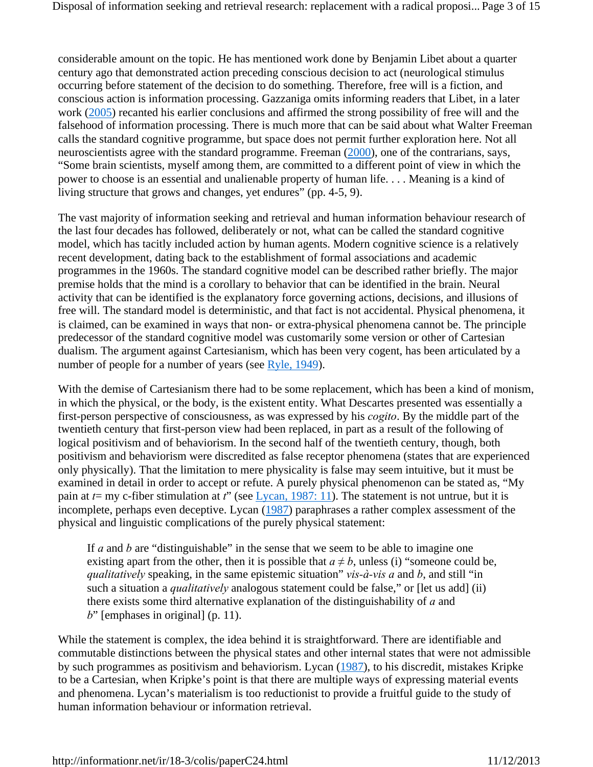considerable amount on the topic. He has mentioned work done by Benjamin Libet about a quarter century ago that demonstrated action preceding conscious decision to act (neurological stimulus occurring before statement of the decision to do something. Therefore, free will is a fiction, and conscious action is information processing. Gazzaniga omits informing readers that Libet, in a later work (2005) recanted his earlier conclusions and affirmed the strong possibility of free will and the falsehood of information processing. There is much more that can be said about what Walter Freeman calls the standard cognitive programme, but space does not permit further exploration here. Not all neuroscientists agree with the standard programme. Freeman (2000), one of the contrarians, says, "Some brain scientists, myself among them, are committed to a different point of view in which the power to choose is an essential and unalienable property of human life. . . . Meaning is a kind of living structure that grows and changes, yet endures" (pp. 4-5, 9).

The vast majority of information seeking and retrieval and human information behaviour research of the last four decades has followed, deliberately or not, what can be called the standard cognitive model, which has tacitly included action by human agents. Modern cognitive science is a relatively recent development, dating back to the establishment of formal associations and academic programmes in the 1960s. The standard cognitive model can be described rather briefly. The major premise holds that the mind is a corollary to behavior that can be identified in the brain. Neural activity that can be identified is the explanatory force governing actions, decisions, and illusions of free will. The standard model is deterministic, and that fact is not accidental. Physical phenomena, it is claimed, can be examined in ways that non- or extra-physical phenomena cannot be. The principle predecessor of the standard cognitive model was customarily some version or other of Cartesian dualism. The argument against Cartesianism, which has been very cogent, has been articulated by a number of people for a number of years (see Ryle, 1949).

With the demise of Cartesianism there had to be some replacement, which has been a kind of monism, in which the physical, or the body, is the existent entity. What Descartes presented was essentially a first-person perspective of consciousness, as was expressed by his *cogito*. By the middle part of the twentieth century that first-person view had been replaced, in part as a result of the following of logical positivism and of behaviorism. In the second half of the twentieth century, though, both positivism and behaviorism were discredited as false receptor phenomena (states that are experienced only physically). That the limitation to mere physicality is false may seem intuitive, but it must be examined in detail in order to accept or refute. A purely physical phenomenon can be stated as, "My pain at *t*= my c-fiber stimulation at *t*" (see Lycan, 1987: 11). The statement is not untrue, but it is incomplete, perhaps even deceptive. Lycan (1987) paraphrases a rather complex assessment of the physical and linguistic complications of the purely physical statement:

If *a* and *b* are "distinguishable" in the sense that we seem to be able to imagine one existing apart from the other, then it is possible that  $a \neq b$ , unless (i) "someone could be, *qualitatively* speaking, in the same epistemic situation" *vis-à-vis a* and *b*, and still "in such a situation a *qualitatively* analogous statement could be false," or [let us add] (ii) there exists some third alternative explanation of the distinguishability of *a* and *b*" [emphases in original] (p. 11).

While the statement is complex, the idea behind it is straightforward. There are identifiable and commutable distinctions between the physical states and other internal states that were not admissible by such programmes as positivism and behaviorism. Lycan (1987), to his discredit, mistakes Kripke to be a Cartesian, when Kripke's point is that there are multiple ways of expressing material events and phenomena. Lycan's materialism is too reductionist to provide a fruitful guide to the study of human information behaviour or information retrieval.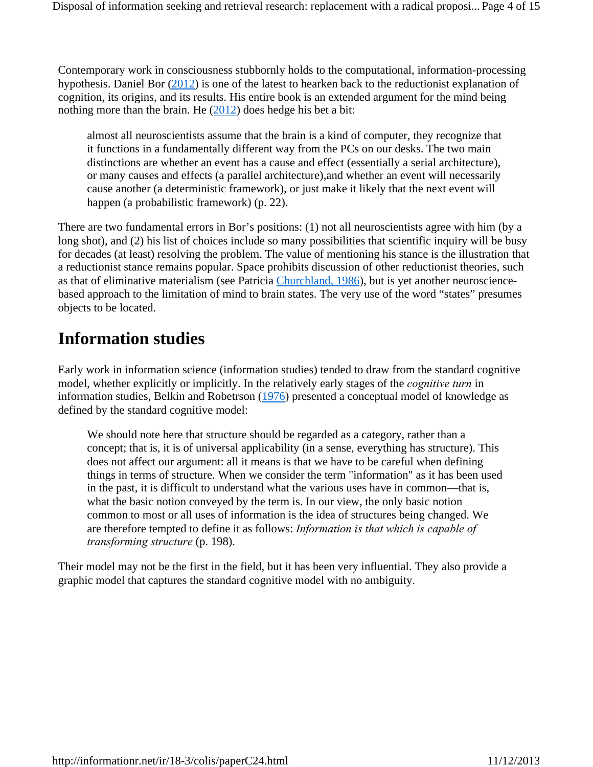Contemporary work in consciousness stubbornly holds to the computational, information-processing hypothesis. Daniel Bor (2012) is one of the latest to hearken back to the reductionist explanation of cognition, its origins, and its results. His entire book is an extended argument for the mind being nothing more than the brain. He  $(2012)$  does hedge his bet a bit:

almost all neuroscientists assume that the brain is a kind of computer, they recognize that it functions in a fundamentally different way from the PCs on our desks. The two main distinctions are whether an event has a cause and effect (essentially a serial architecture), or many causes and effects (a parallel architecture),and whether an event will necessarily cause another (a deterministic framework), or just make it likely that the next event will happen (a probabilistic framework) (p. 22).

There are two fundamental errors in Bor's positions: (1) not all neuroscientists agree with him (by a long shot), and (2) his list of choices include so many possibilities that scientific inquiry will be busy for decades (at least) resolving the problem. The value of mentioning his stance is the illustration that a reductionist stance remains popular. Space prohibits discussion of other reductionist theories, such as that of eliminative materialism (see Patricia Churchland, 1986), but is yet another neurosciencebased approach to the limitation of mind to brain states. The very use of the word "states" presumes objects to be located.

# **Information studies**

Early work in information science (information studies) tended to draw from the standard cognitive model, whether explicitly or implicitly. In the relatively early stages of the *cognitive turn* in information studies, Belkin and Robetrson (1976) presented a conceptual model of knowledge as defined by the standard cognitive model:

We should note here that structure should be regarded as a category, rather than a concept; that is, it is of universal applicability (in a sense, everything has structure). This does not affect our argument: all it means is that we have to be careful when defining things in terms of structure. When we consider the term "information" as it has been used in the past, it is difficult to understand what the various uses have in common—that is, what the basic notion conveyed by the term is. In our view, the only basic notion common to most or all uses of information is the idea of structures being changed. We are therefore tempted to define it as follows: *Information is that which is capable of transforming structure* (p. 198).

Their model may not be the first in the field, but it has been very influential. They also provide a graphic model that captures the standard cognitive model with no ambiguity.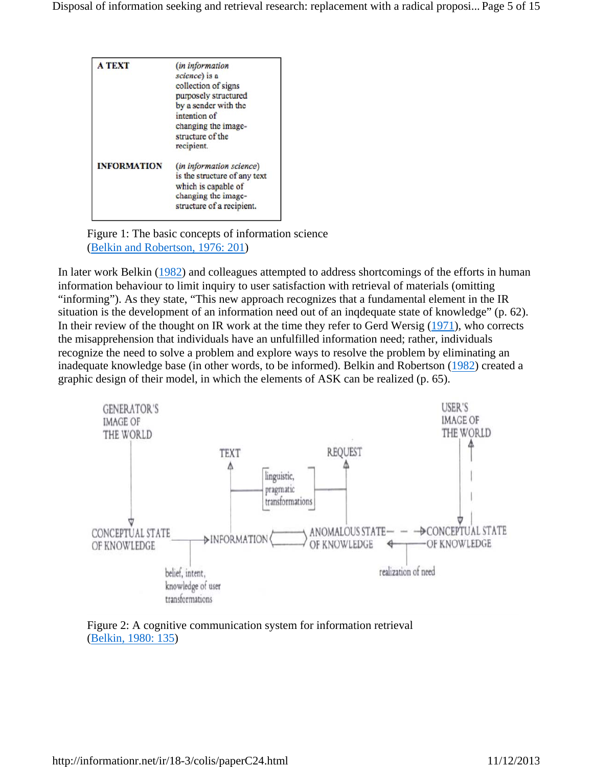| <b>A TEXT</b>      | (in information<br>science) is a<br>collection of signs<br>purposely structured<br>by a sender with the<br>intention of<br>changing the image-<br>structure of the<br>recipient. |
|--------------------|----------------------------------------------------------------------------------------------------------------------------------------------------------------------------------|
| <b>INFORMATION</b> | (in information science)<br>is the structure of any text<br>which is capable of<br>changing the image-<br>structure of a recipient.                                              |

Figure 1: The basic concepts of information science (Belkin and Robertson, 1976: 201)

In later work Belkin (1982) and colleagues attempted to address shortcomings of the efforts in human information behaviour to limit inquiry to user satisfaction with retrieval of materials (omitting "informing"). As they state, "This new approach recognizes that a fundamental element in the IR situation is the development of an information need out of an inqdequate state of knowledge" (p. 62). In their review of the thought on IR work at the time they refer to Gerd Wersig (1971), who corrects the misapprehension that individuals have an unfulfilled information need; rather, individuals recognize the need to solve a problem and explore ways to resolve the problem by eliminating an inadequate knowledge base (in other words, to be informed). Belkin and Robertson (1982) created a graphic design of their model, in which the elements of ASK can be realized (p. 65).



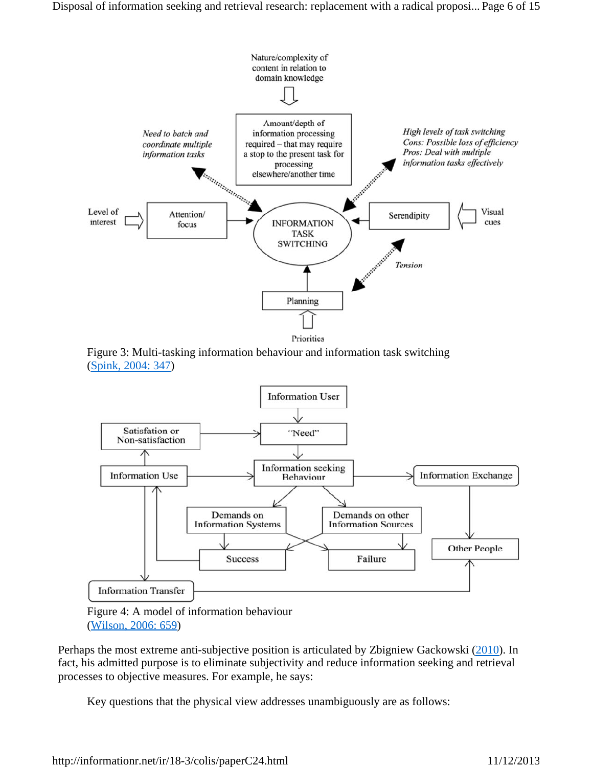

Figure 3: Multi-tasking information behaviour and information task switching (Spink, 2004: 347)



(Wilson, 2006: 659)

Perhaps the most extreme anti-subjective position is articulated by Zbigniew Gackowski (2010). In fact, his admitted purpose is to eliminate subjectivity and reduce information seeking and retrieval processes to objective measures. For example, he says:

Key questions that the physical view addresses unambiguously are as follows: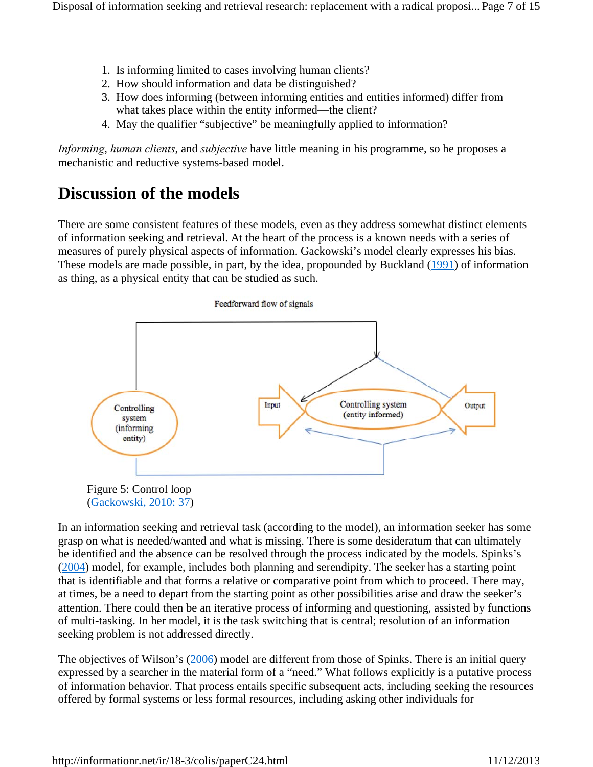- 1. Is informing limited to cases involving human clients?
- 2. How should information and data be distinguished?
- 3. How does informing (between informing entities and entities informed) differ from what takes place within the entity informed—the client?
- 4. May the qualifier "subjective" be meaningfully applied to information?

*Informing*, *human clients*, and *subjective* have little meaning in his programme, so he proposes a mechanistic and reductive systems-based model.

# **Discussion of the models**

There are some consistent features of these models, even as they address somewhat distinct elements of information seeking and retrieval. At the heart of the process is a known needs with a series of measures of purely physical aspects of information. Gackowski's model clearly expresses his bias. These models are made possible, in part, by the idea, propounded by Buckland (1991) of information as thing, as a physical entity that can be studied as such.



In an information seeking and retrieval task (according to the model), an information seeker has some grasp on what is needed/wanted and what is missing. There is some desideratum that can ultimately be identified and the absence can be resolved through the process indicated by the models. Spinks's (2004) model, for example, includes both planning and serendipity. The seeker has a starting point that is identifiable and that forms a relative or comparative point from which to proceed. There may, at times, be a need to depart from the starting point as other possibilities arise and draw the seeker's attention. There could then be an iterative process of informing and questioning, assisted by functions of multi-tasking. In her model, it is the task switching that is central; resolution of an information seeking problem is not addressed directly.

The objectives of Wilson's (2006) model are different from those of Spinks. There is an initial query expressed by a searcher in the material form of a "need." What follows explicitly is a putative process of information behavior. That process entails specific subsequent acts, including seeking the resources offered by formal systems or less formal resources, including asking other individuals for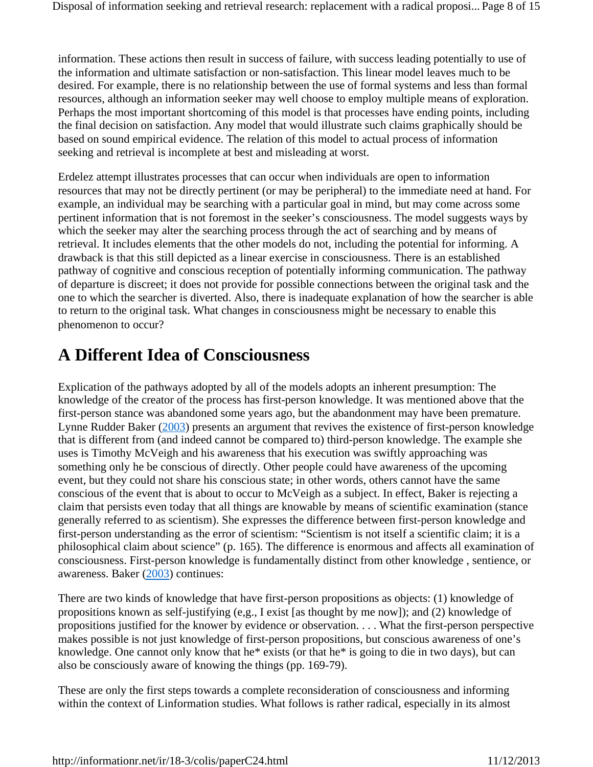information. These actions then result in success of failure, with success leading potentially to use of the information and ultimate satisfaction or non-satisfaction. This linear model leaves much to be desired. For example, there is no relationship between the use of formal systems and less than formal resources, although an information seeker may well choose to employ multiple means of exploration. Perhaps the most important shortcoming of this model is that processes have ending points, including the final decision on satisfaction. Any model that would illustrate such claims graphically should be based on sound empirical evidence. The relation of this model to actual process of information seeking and retrieval is incomplete at best and misleading at worst.

Erdelez attempt illustrates processes that can occur when individuals are open to information resources that may not be directly pertinent (or may be peripheral) to the immediate need at hand. For example, an individual may be searching with a particular goal in mind, but may come across some pertinent information that is not foremost in the seeker's consciousness. The model suggests ways by which the seeker may alter the searching process through the act of searching and by means of retrieval. It includes elements that the other models do not, including the potential for informing. A drawback is that this still depicted as a linear exercise in consciousness. There is an established pathway of cognitive and conscious reception of potentially informing communication. The pathway of departure is discreet; it does not provide for possible connections between the original task and the one to which the searcher is diverted. Also, there is inadequate explanation of how the searcher is able to return to the original task. What changes in consciousness might be necessary to enable this phenomenon to occur?

# **A Different Idea of Consciousness**

Explication of the pathways adopted by all of the models adopts an inherent presumption: The knowledge of the creator of the process has first-person knowledge. It was mentioned above that the first-person stance was abandoned some years ago, but the abandonment may have been premature. Lynne Rudder Baker (2003) presents an argument that revives the existence of first-person knowledge that is different from (and indeed cannot be compared to) third-person knowledge. The example she uses is Timothy McVeigh and his awareness that his execution was swiftly approaching was something only he be conscious of directly. Other people could have awareness of the upcoming event, but they could not share his conscious state; in other words, others cannot have the same conscious of the event that is about to occur to McVeigh as a subject. In effect, Baker is rejecting a claim that persists even today that all things are knowable by means of scientific examination (stance generally referred to as scientism). She expresses the difference between first-person knowledge and first-person understanding as the error of scientism: "Scientism is not itself a scientific claim; it is a philosophical claim about science" (p. 165). The difference is enormous and affects all examination of consciousness. First-person knowledge is fundamentally distinct from other knowledge , sentience, or awareness. Baker (2003) continues:

There are two kinds of knowledge that have first-person propositions as objects: (1) knowledge of propositions known as self-justifying (e,g., I exist [as thought by me now]); and (2) knowledge of propositions justified for the knower by evidence or observation. . . . What the first-person perspective makes possible is not just knowledge of first-person propositions, but conscious awareness of one's knowledge. One cannot only know that he\* exists (or that he\* is going to die in two days), but can also be consciously aware of knowing the things (pp. 169-79).

These are only the first steps towards a complete reconsideration of consciousness and informing within the context of Linformation studies. What follows is rather radical, especially in its almost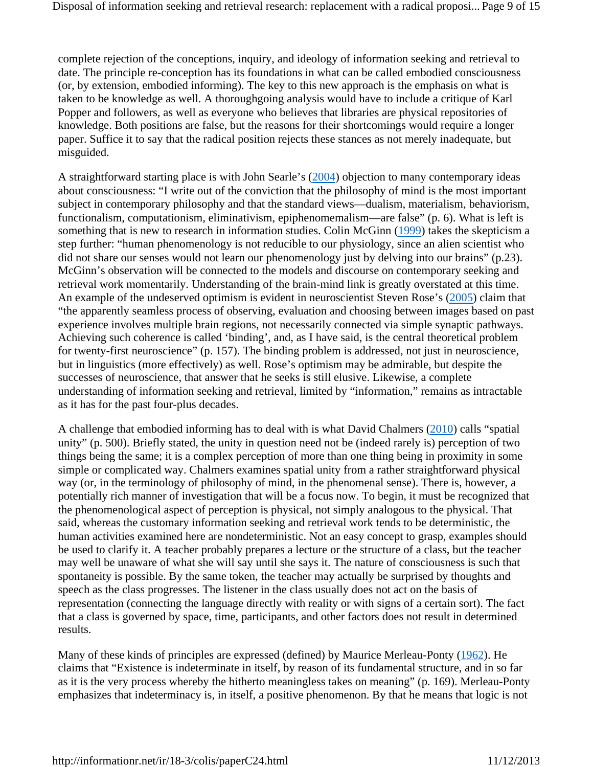complete rejection of the conceptions, inquiry, and ideology of information seeking and retrieval to date. The principle re-conception has its foundations in what can be called embodied consciousness (or, by extension, embodied informing). The key to this new approach is the emphasis on what is taken to be knowledge as well. A thoroughgoing analysis would have to include a critique of Karl Popper and followers, as well as everyone who believes that libraries are physical repositories of knowledge. Both positions are false, but the reasons for their shortcomings would require a longer paper. Suffice it to say that the radical position rejects these stances as not merely inadequate, but misguided.

A straightforward starting place is with John Searle's (2004) objection to many contemporary ideas about consciousness: "I write out of the conviction that the philosophy of mind is the most important subject in contemporary philosophy and that the standard views—dualism, materialism, behaviorism, functionalism, computationism, eliminativism, epiphenomemalism—are false" (p. 6). What is left is something that is new to research in information studies. Colin McGinn (1999) takes the skepticism a step further: "human phenomenology is not reducible to our physiology, since an alien scientist who did not share our senses would not learn our phenomenology just by delving into our brains" (p.23). McGinn's observation will be connected to the models and discourse on contemporary seeking and retrieval work momentarily. Understanding of the brain-mind link is greatly overstated at this time. An example of the undeserved optimism is evident in neuroscientist Steven Rose's (2005) claim that "the apparently seamless process of observing, evaluation and choosing between images based on past experience involves multiple brain regions, not necessarily connected via simple synaptic pathways. Achieving such coherence is called 'binding', and, as I have said, is the central theoretical problem for twenty-first neuroscience" (p. 157). The binding problem is addressed, not just in neuroscience, but in linguistics (more effectively) as well. Rose's optimism may be admirable, but despite the successes of neuroscience, that answer that he seeks is still elusive. Likewise, a complete understanding of information seeking and retrieval, limited by "information," remains as intractable as it has for the past four-plus decades.

A challenge that embodied informing has to deal with is what David Chalmers (2010) calls "spatial unity" (p. 500). Briefly stated, the unity in question need not be (indeed rarely is) perception of two things being the same; it is a complex perception of more than one thing being in proximity in some simple or complicated way. Chalmers examines spatial unity from a rather straightforward physical way (or, in the terminology of philosophy of mind, in the phenomenal sense). There is, however, a potentially rich manner of investigation that will be a focus now. To begin, it must be recognized that the phenomenological aspect of perception is physical, not simply analogous to the physical. That said, whereas the customary information seeking and retrieval work tends to be deterministic, the human activities examined here are nondeterministic. Not an easy concept to grasp, examples should be used to clarify it. A teacher probably prepares a lecture or the structure of a class, but the teacher may well be unaware of what she will say until she says it. The nature of consciousness is such that spontaneity is possible. By the same token, the teacher may actually be surprised by thoughts and speech as the class progresses. The listener in the class usually does not act on the basis of representation (connecting the language directly with reality or with signs of a certain sort). The fact that a class is governed by space, time, participants, and other factors does not result in determined results.

Many of these kinds of principles are expressed (defined) by Maurice Merleau-Ponty (1962). He claims that "Existence is indeterminate in itself, by reason of its fundamental structure, and in so far as it is the very process whereby the hitherto meaningless takes on meaning" (p. 169). Merleau-Ponty emphasizes that indeterminacy is, in itself, a positive phenomenon. By that he means that logic is not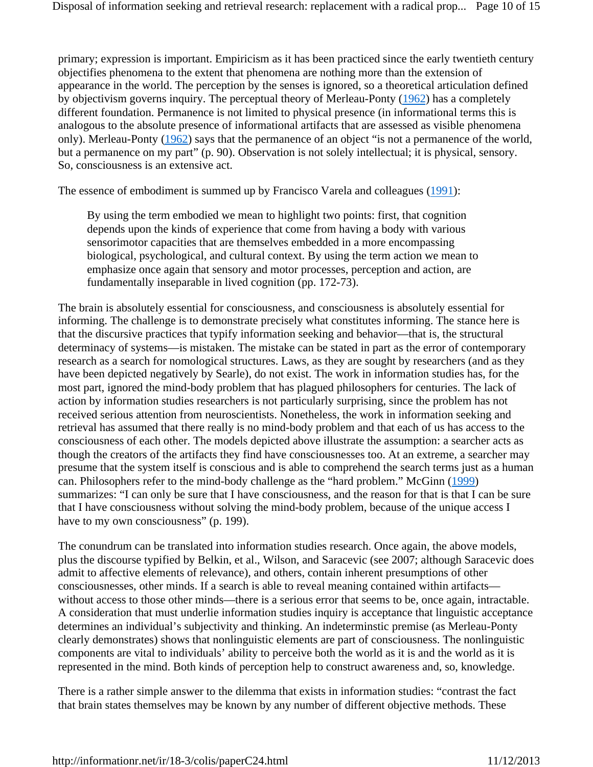primary; expression is important. Empiricism as it has been practiced since the early twentieth century objectifies phenomena to the extent that phenomena are nothing more than the extension of appearance in the world. The perception by the senses is ignored, so a theoretical articulation defined by objectivism governs inquiry. The perceptual theory of Merleau-Ponty (1962) has a completely different foundation. Permanence is not limited to physical presence (in informational terms this is analogous to the absolute presence of informational artifacts that are assessed as visible phenomena only). Merleau-Ponty (1962) says that the permanence of an object "is not a permanence of the world, but a permanence on my part" (p. 90). Observation is not solely intellectual; it is physical, sensory. So, consciousness is an extensive act.

The essence of embodiment is summed up by Francisco Varela and colleagues (1991):

By using the term embodied we mean to highlight two points: first, that cognition depends upon the kinds of experience that come from having a body with various sensorimotor capacities that are themselves embedded in a more encompassing biological, psychological, and cultural context. By using the term action we mean to emphasize once again that sensory and motor processes, perception and action, are fundamentally inseparable in lived cognition (pp. 172-73).

The brain is absolutely essential for consciousness, and consciousness is absolutely essential for informing. The challenge is to demonstrate precisely what constitutes informing. The stance here is that the discursive practices that typify information seeking and behavior—that is, the structural determinacy of systems—is mistaken. The mistake can be stated in part as the error of contemporary research as a search for nomological structures. Laws, as they are sought by researchers (and as they have been depicted negatively by Searle), do not exist. The work in information studies has, for the most part, ignored the mind-body problem that has plagued philosophers for centuries. The lack of action by information studies researchers is not particularly surprising, since the problem has not received serious attention from neuroscientists. Nonetheless, the work in information seeking and retrieval has assumed that there really is no mind-body problem and that each of us has access to the consciousness of each other. The models depicted above illustrate the assumption: a searcher acts as though the creators of the artifacts they find have consciousnesses too. At an extreme, a searcher may presume that the system itself is conscious and is able to comprehend the search terms just as a human can. Philosophers refer to the mind-body challenge as the "hard problem." McGinn (1999) summarizes: "I can only be sure that I have consciousness, and the reason for that is that I can be sure that I have consciousness without solving the mind-body problem, because of the unique access I have to my own consciousness" (p. 199).

The conundrum can be translated into information studies research. Once again, the above models, plus the discourse typified by Belkin, et al., Wilson, and Saracevic (see 2007; although Saracevic does admit to affective elements of relevance), and others, contain inherent presumptions of other consciousnesses, other minds. If a search is able to reveal meaning contained within artifacts without access to those other minds—there is a serious error that seems to be, once again, intractable. A consideration that must underlie information studies inquiry is acceptance that linguistic acceptance determines an individual's subjectivity and thinking. An indeterminstic premise (as Merleau-Ponty clearly demonstrates) shows that nonlinguistic elements are part of consciousness. The nonlinguistic components are vital to individuals' ability to perceive both the world as it is and the world as it is represented in the mind. Both kinds of perception help to construct awareness and, so, knowledge.

There is a rather simple answer to the dilemma that exists in information studies: "contrast the fact that brain states themselves may be known by any number of different objective methods. These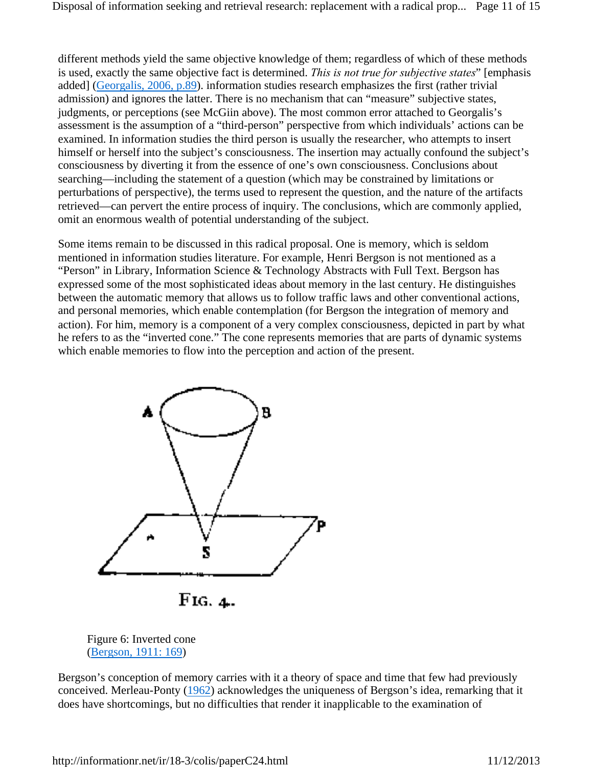different methods yield the same objective knowledge of them; regardless of which of these methods is used, exactly the same objective fact is determined. *This is not true for subjective states*" [emphasis added] (Georgalis, 2006, p.89). information studies research emphasizes the first (rather trivial admission) and ignores the latter. There is no mechanism that can "measure" subjective states, judgments, or perceptions (see McGiin above). The most common error attached to Georgalis's assessment is the assumption of a "third-person" perspective from which individuals' actions can be examined. In information studies the third person is usually the researcher, who attempts to insert himself or herself into the subject's consciousness. The insertion may actually confound the subject's consciousness by diverting it from the essence of one's own consciousness. Conclusions about searching—including the statement of a question (which may be constrained by limitations or perturbations of perspective), the terms used to represent the question, and the nature of the artifacts retrieved—can pervert the entire process of inquiry. The conclusions, which are commonly applied, omit an enormous wealth of potential understanding of the subject.

Some items remain to be discussed in this radical proposal. One is memory, which is seldom mentioned in information studies literature. For example, Henri Bergson is not mentioned as a "Person" in Library, Information Science & Technology Abstracts with Full Text. Bergson has expressed some of the most sophisticated ideas about memory in the last century. He distinguishes between the automatic memory that allows us to follow traffic laws and other conventional actions, and personal memories, which enable contemplation (for Bergson the integration of memory and action). For him, memory is a component of a very complex consciousness, depicted in part by what he refers to as the "inverted cone." The cone represents memories that are parts of dynamic systems which enable memories to flow into the perception and action of the present.



Figure 6: Inverted cone (Bergson, 1911: 169)

Bergson's conception of memory carries with it a theory of space and time that few had previously conceived. Merleau-Ponty (1962) acknowledges the uniqueness of Bergson's idea, remarking that it does have shortcomings, but no difficulties that render it inapplicable to the examination of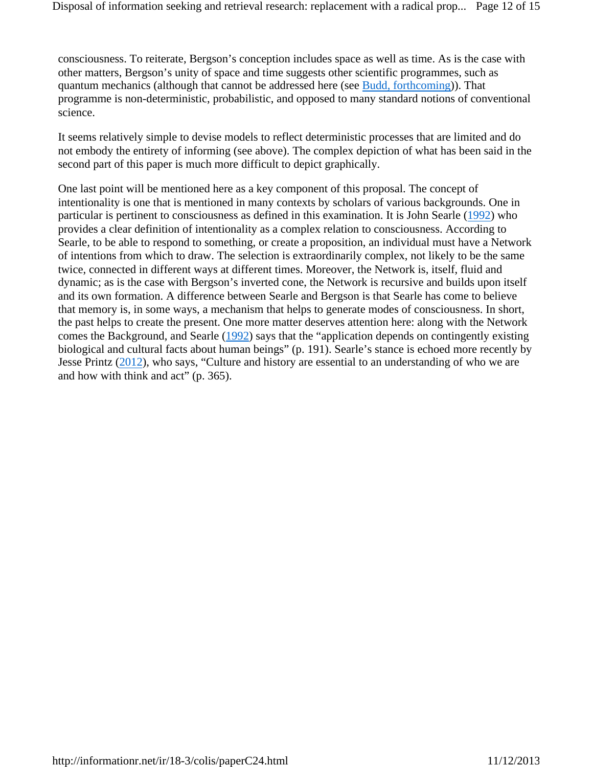consciousness. To reiterate, Bergson's conception includes space as well as time. As is the case with other matters, Bergson's unity of space and time suggests other scientific programmes, such as quantum mechanics (although that cannot be addressed here (see Budd, forthcoming)). That programme is non-deterministic, probabilistic, and opposed to many standard notions of conventional science.

It seems relatively simple to devise models to reflect deterministic processes that are limited and do not embody the entirety of informing (see above). The complex depiction of what has been said in the second part of this paper is much more difficult to depict graphically.

One last point will be mentioned here as a key component of this proposal. The concept of intentionality is one that is mentioned in many contexts by scholars of various backgrounds. One in particular is pertinent to consciousness as defined in this examination. It is John Searle (1992) who provides a clear definition of intentionality as a complex relation to consciousness. According to Searle, to be able to respond to something, or create a proposition, an individual must have a Network of intentions from which to draw. The selection is extraordinarily complex, not likely to be the same twice, connected in different ways at different times. Moreover, the Network is, itself, fluid and dynamic; as is the case with Bergson's inverted cone, the Network is recursive and builds upon itself and its own formation. A difference between Searle and Bergson is that Searle has come to believe that memory is, in some ways, a mechanism that helps to generate modes of consciousness. In short, the past helps to create the present. One more matter deserves attention here: along with the Network comes the Background, and Searle (1992) says that the "application depends on contingently existing biological and cultural facts about human beings" (p. 191). Searle's stance is echoed more recently by Jesse Printz (2012), who says, "Culture and history are essential to an understanding of who we are and how with think and act" (p. 365).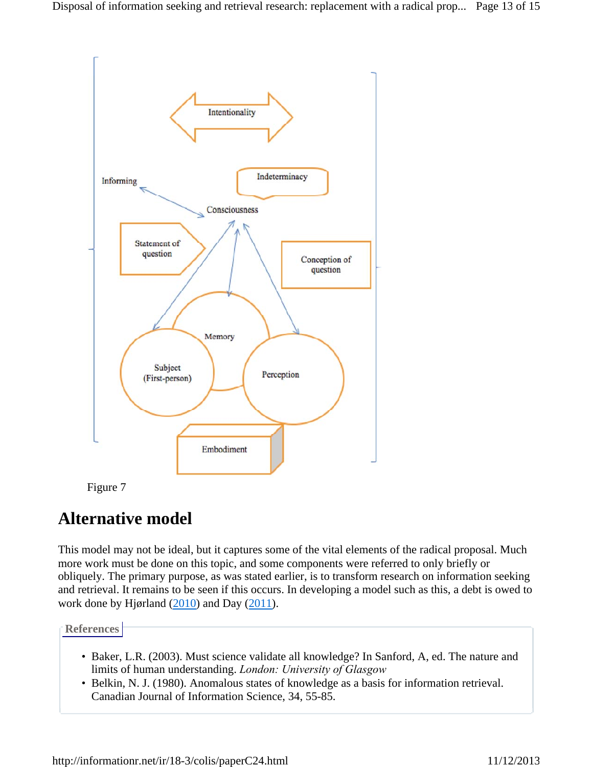



# **Alternative model**

This model may not be ideal, but it captures some of the vital elements of the radical proposal. Much more work must be done on this topic, and some components were referred to only briefly or obliquely. The primary purpose, as was stated earlier, is to transform research on information seeking and retrieval. It remains to be seen if this occurs. In developing a model such as this, a debt is owed to work done by Hjørland (2010) and Day (2011).

**References**

- Baker, L.R. (2003). Must science validate all knowledge? In Sanford, A, ed. The nature and limits of human understanding. *London: University of Glasgow*
- Belkin, N. J. (1980). Anomalous states of knowledge as a basis for information retrieval. Canadian Journal of Information Science, 34, 55-85.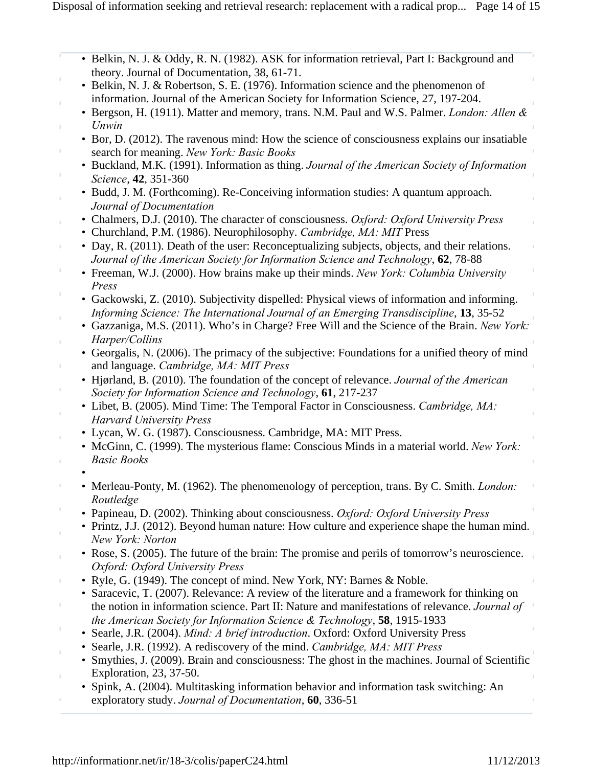- Belkin, N. J. & Oddy, R. N. (1982). ASK for information retrieval, Part I: Background and theory. Journal of Documentation, 38, 61-71.
- Belkin, N. J. & Robertson, S. E. (1976). Information science and the phenomenon of information. Journal of the American Society for Information Science, 27, 197-204.
- Bergson, H. (1911). Matter and memory, trans. N.M. Paul and W.S. Palmer. *London: Allen & Unwin*
- Bor, D. (2012). The ravenous mind: How the science of consciousness explains our insatiable search for meaning. *New York: Basic Books*
- Buckland, M.K. (1991). Information as thing. *Journal of the American Society of Information Science*, **42**, 351-360
- Budd, J. M. (Forthcoming). Re-Conceiving information studies: A quantum approach. *Journal of Documentation*
- Chalmers, D.J. (2010). The character of consciousness. *Oxford: Oxford University Press*
- Churchland, P.M. (1986). Neurophilosophy. *Cambridge, MA: MIT* Press
- Day, R. (2011). Death of the user: Reconceptualizing subjects, objects, and their relations. *Journal of the American Society for Information Science and Technology*, **62**, 78-88
- Freeman, W.J. (2000). How brains make up their minds. *New York: Columbia University Press*
- Gackowski, Z. (2010). Subjectivity dispelled: Physical views of information and informing. *Informing Science: The International Journal of an Emerging Transdiscipline*, **13**, 35-52
- Gazzaniga, M.S. (2011). Who's in Charge? Free Will and the Science of the Brain. *New York: Harper/Collins*
- Georgalis, N. (2006). The primacy of the subjective: Foundations for a unified theory of mind and language. *Cambridge, MA: MIT Press*
- Hjørland, B. (2010). The foundation of the concept of relevance. *Journal of the American Society for Information Science and Technology*, **61**, 217-237
- Libet, B. (2005). Mind Time: The Temporal Factor in Consciousness. *Cambridge, MA: Harvard University Press*
- Lycan, W. G. (1987). Consciousness. Cambridge, MA: MIT Press.
- McGinn, C. (1999). The mysterious flame: Conscious Minds in a material world. *New York: Basic Books*
- •
- Merleau-Ponty, M. (1962). The phenomenology of perception, trans. By C. Smith. *London: Routledge*
- Papineau, D. (2002). Thinking about consciousness. *Oxford: Oxford University Press*
- Printz, J.J. (2012). Beyond human nature: How culture and experience shape the human mind. *New York: Norton*
- Rose, S. (2005). The future of the brain: The promise and perils of tomorrow's neuroscience. *Oxford: Oxford University Press*
- Ryle, G. (1949). The concept of mind. New York, NY: Barnes & Noble.
- Saracevic, T. (2007). Relevance: A review of the literature and a framework for thinking on the notion in information science. Part II: Nature and manifestations of relevance. *Journal of the American Society for Information Science & Technology*, **58**, 1915-1933
- Searle, J.R. (2004). *Mind: A brief introduction*. Oxford: Oxford University Press
- Searle, J.R. (1992). A rediscovery of the mind. *Cambridge, MA: MIT Press*
- Smythies, J. (2009). Brain and consciousness: The ghost in the machines. Journal of Scientific Exploration, 23, 37-50.
- Spink, A. (2004). Multitasking information behavior and information task switching: An exploratory study. *Journal of Documentation*, **60**, 336-51